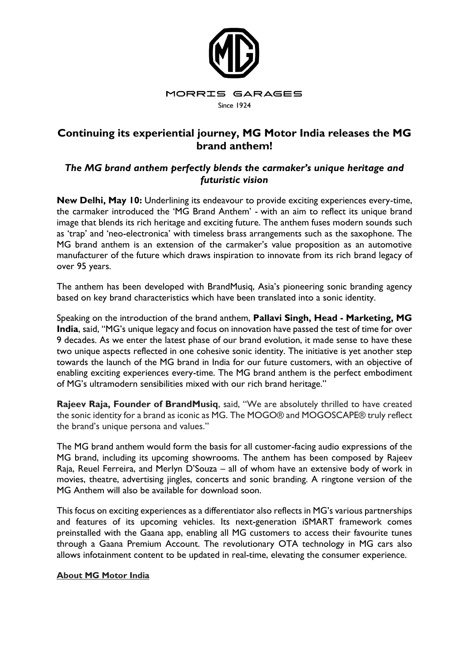

## **Continuing its experiential journey, MG Motor India releases the MG brand anthem!**

## *The MG brand anthem perfectly blends the carmaker's unique heritage and futuristic vision*

**New Delhi, May 10:** Underlining its endeavour to provide exciting experiences every-time, the carmaker introduced the 'MG Brand Anthem' - with an aim to reflect its unique brand image that blends its rich heritage and exciting future. The anthem fuses modern sounds such as 'trap' and 'neo-electronica' with timeless brass arrangements such as the saxophone. The MG brand anthem is an extension of the carmaker's value proposition as an automotive manufacturer of the future which draws inspiration to innovate from its rich brand legacy of over 95 years.

The anthem has been developed with BrandMusiq, Asia's pioneering sonic branding agency based on key brand characteristics which have been translated into a sonic identity.

Speaking on the introduction of the brand anthem, **Pallavi Singh, Head - Marketing, MG India**, said, "MG's unique legacy and focus on innovation have passed the test of time for over 9 decades. As we enter the latest phase of our brand evolution, it made sense to have these two unique aspects reflected in one cohesive sonic identity. The initiative is yet another step towards the launch of the MG brand in India for our future customers, with an objective of enabling exciting experiences every-time. The MG brand anthem is the perfect embodiment of MG's ultramodern sensibilities mixed with our rich brand heritage."

**Rajeev Raja, Founder of BrandMusiq**, said, "We are absolutely thrilled to have created the sonic identity for a brand as iconic as MG. The MOGO® and MOGOSCAPE® truly reflect the brand's unique persona and values."

The MG brand anthem would form the basis for all customer-facing audio expressions of the MG brand, including its upcoming showrooms. The anthem has been composed by Rajeev Raja, Reuel Ferreira, and Merlyn D'Souza – all of whom have an extensive body of work in movies, theatre, advertising jingles, concerts and sonic branding. A ringtone version of the MG Anthem will also be available for download soon.

This focus on exciting experiences as a differentiator also reflects in MG's various partnerships and features of its upcoming vehicles. Its next-generation iSMART framework comes preinstalled with the Gaana app, enabling all MG customers to access their favourite tunes through a Gaana Premium Account. The revolutionary OTA technology in MG cars also allows infotainment content to be updated in real-time, elevating the consumer experience.

## **About MG Motor India**